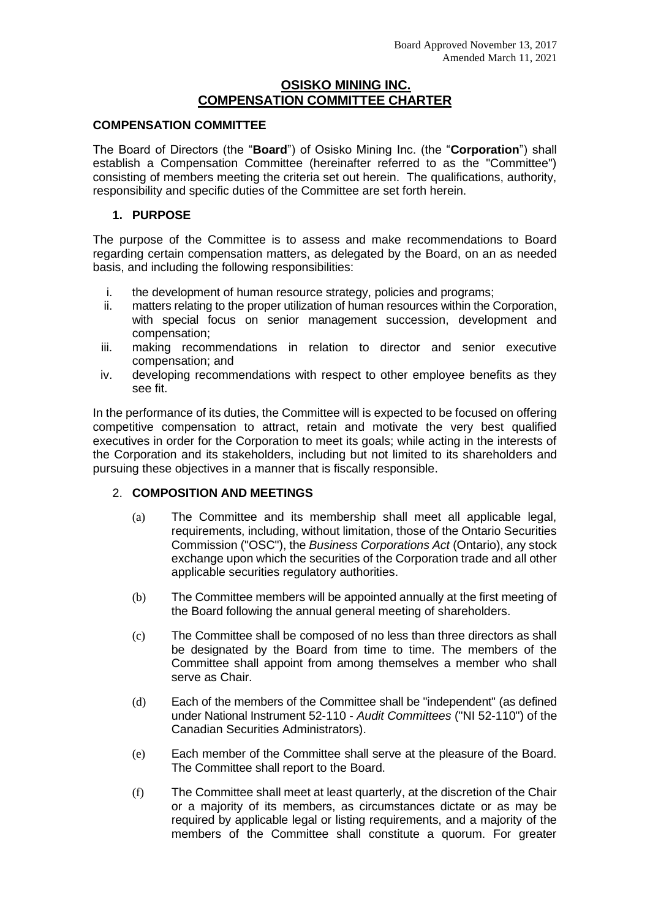# **OSISKO MINING INC. COMPENSATION COMMITTEE CHARTER**

#### **COMPENSATION COMMITTEE**

The Board of Directors (the "**Board**") of Osisko Mining Inc. (the "**Corporation**") shall establish a Compensation Committee (hereinafter referred to as the "Committee") consisting of members meeting the criteria set out herein. The qualifications, authority, responsibility and specific duties of the Committee are set forth herein.

### **1. PURPOSE**

The purpose of the Committee is to assess and make recommendations to Board regarding certain compensation matters, as delegated by the Board, on an as needed basis, and including the following responsibilities:

- i. the development of human resource strategy, policies and programs;
- ii. matters relating to the proper utilization of human resources within the Corporation, with special focus on senior management succession, development and compensation;
- iii. making recommendations in relation to director and senior executive compensation; and
- iv. developing recommendations with respect to other employee benefits as they see fit.

In the performance of its duties, the Committee will is expected to be focused on offering competitive compensation to attract, retain and motivate the very best qualified executives in order for the Corporation to meet its goals; while acting in the interests of the Corporation and its stakeholders, including but not limited to its shareholders and pursuing these objectives in a manner that is fiscally responsible.

# 2. **COMPOSITION AND MEETINGS**

- (a) The Committee and its membership shall meet all applicable legal, requirements, including, without limitation, those of the Ontario Securities Commission ("OSC"), the *Business Corporations Act* (Ontario), any stock exchange upon which the securities of the Corporation trade and all other applicable securities regulatory authorities.
- (b) The Committee members will be appointed annually at the first meeting of the Board following the annual general meeting of shareholders.
- (c) The Committee shall be composed of no less than three directors as shall be designated by the Board from time to time. The members of the Committee shall appoint from among themselves a member who shall serve as Chair.
- (d) Each of the members of the Committee shall be "independent" (as defined under National Instrument 52-110 - *Audit Committees* ("NI 52-110") of the Canadian Securities Administrators).
- (e) Each member of the Committee shall serve at the pleasure of the Board. The Committee shall report to the Board.
- (f) The Committee shall meet at least quarterly, at the discretion of the Chair or a majority of its members, as circumstances dictate or as may be required by applicable legal or listing requirements, and a majority of the members of the Committee shall constitute a quorum. For greater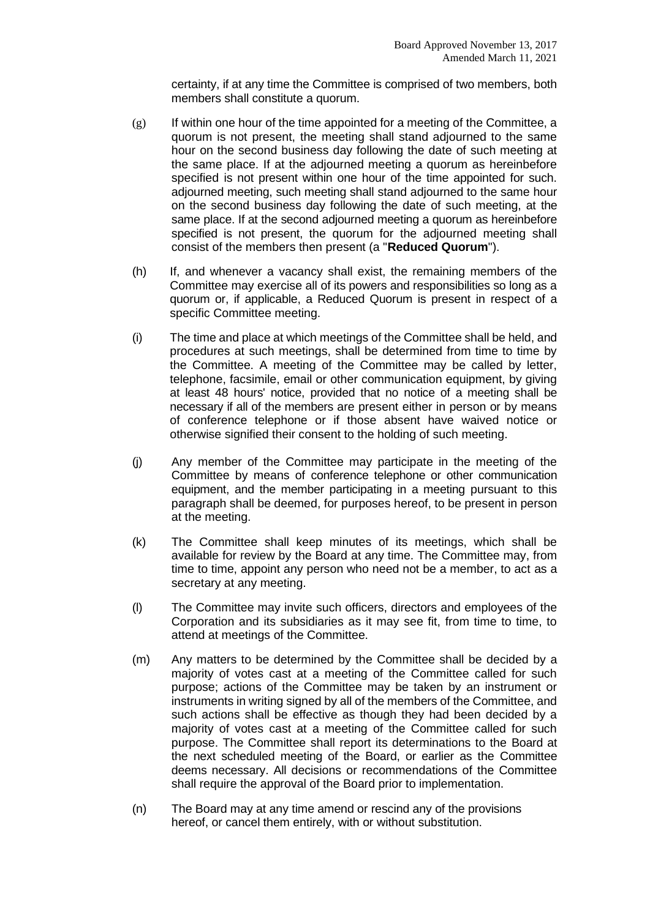certainty, if at any time the Committee is comprised of two members, both members shall constitute a quorum.

- $(g)$  If within one hour of the time appointed for a meeting of the Committee, a quorum is not present, the meeting shall stand adjourned to the same hour on the second business day following the date of such meeting at the same place. If at the adjourned meeting a quorum as hereinbefore specified is not present within one hour of the time appointed for such. adjourned meeting, such meeting shall stand adjourned to the same hour on the second business day following the date of such meeting, at the same place. If at the second adjourned meeting a quorum as hereinbefore specified is not present, the quorum for the adjourned meeting shall consist of the members then present (a "**Reduced Quorum**").
- (h) If, and whenever a vacancy shall exist, the remaining members of the Committee may exercise all of its powers and responsibilities so long as a quorum or, if applicable, a Reduced Quorum is present in respect of a specific Committee meeting.
- (i) The time and place at which meetings of the Committee shall be held, and procedures at such meetings, shall be determined from time to time by the Committee. A meeting of the Committee may be called by letter, telephone, facsimile, email or other communication equipment, by giving at least 48 hours' notice, provided that no notice of a meeting shall be necessary if all of the members are present either in person or by means of conference telephone or if those absent have waived notice or otherwise signified their consent to the holding of such meeting.
- (j) Any member of the Committee may participate in the meeting of the Committee by means of conference telephone or other communication equipment, and the member participating in a meeting pursuant to this paragraph shall be deemed, for purposes hereof, to be present in person at the meeting.
- (k) The Committee shall keep minutes of its meetings, which shall be available for review by the Board at any time. The Committee may, from time to time, appoint any person who need not be a member, to act as a secretary at any meeting.
- (l) The Committee may invite such officers, directors and employees of the Corporation and its subsidiaries as it may see fit, from time to time, to attend at meetings of the Committee.
- (m) Any matters to be determined by the Committee shall be decided by a majority of votes cast at a meeting of the Committee called for such purpose; actions of the Committee may be taken by an instrument or instruments in writing signed by all of the members of the Committee, and such actions shall be effective as though they had been decided by a majority of votes cast at a meeting of the Committee called for such purpose. The Committee shall report its determinations to the Board at the next scheduled meeting of the Board, or earlier as the Committee deems necessary. All decisions or recommendations of the Committee shall require the approval of the Board prior to implementation.
- (n) The Board may at any time amend or rescind any of the provisions hereof, or cancel them entirely, with or without substitution.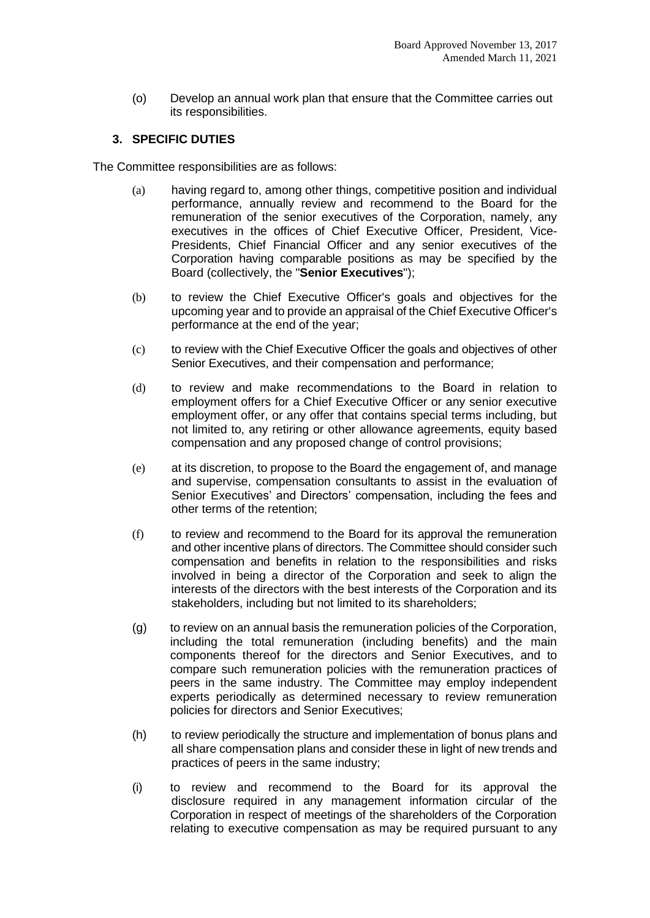(o) Develop an annual work plan that ensure that the Committee carries out its responsibilities.

### **3. SPECIFIC DUTIES**

The Committee responsibilities are as follows:

- (a) having regard to, among other things, competitive position and individual performance, annually review and recommend to the Board for the remuneration of the senior executives of the Corporation, namely, any executives in the offices of Chief Executive Officer, President, Vice-Presidents, Chief Financial Officer and any senior executives of the Corporation having comparable positions as may be specified by the Board (collectively, the "**Senior Executives**");
- (b) to review the Chief Executive Officer's goals and objectives for the upcoming year and to provide an appraisal of the Chief Executive Officer's performance at the end of the year;
- (c) to review with the Chief Executive Officer the goals and objectives of other Senior Executives, and their compensation and performance;
- (d) to review and make recommendations to the Board in relation to employment offers for a Chief Executive Officer or any senior executive employment offer, or any offer that contains special terms including, but not limited to, any retiring or other allowance agreements, equity based compensation and any proposed change of control provisions;
- (e) at its discretion, to propose to the Board the engagement of, and manage and supervise, compensation consultants to assist in the evaluation of Senior Executives' and Directors' compensation, including the fees and other terms of the retention;
- (f) to review and recommend to the Board for its approval the remuneration and other incentive plans of directors. The Committee should consider such compensation and benefits in relation to the responsibilities and risks involved in being a director of the Corporation and seek to align the interests of the directors with the best interests of the Corporation and its stakeholders, including but not limited to its shareholders;
- (g) to review on an annual basis the remuneration policies of the Corporation, including the total remuneration (including benefits) and the main components thereof for the directors and Senior Executives, and to compare such remuneration policies with the remuneration practices of peers in the same industry. The Committee may employ independent experts periodically as determined necessary to review remuneration policies for directors and Senior Executives;
- (h) to review periodically the structure and implementation of bonus plans and all share compensation plans and consider these in light of new trends and practices of peers in the same industry;
- (i) to review and recommend to the Board for its approval the disclosure required in any management information circular of the Corporation in respect of meetings of the shareholders of the Corporation relating to executive compensation as may be required pursuant to any